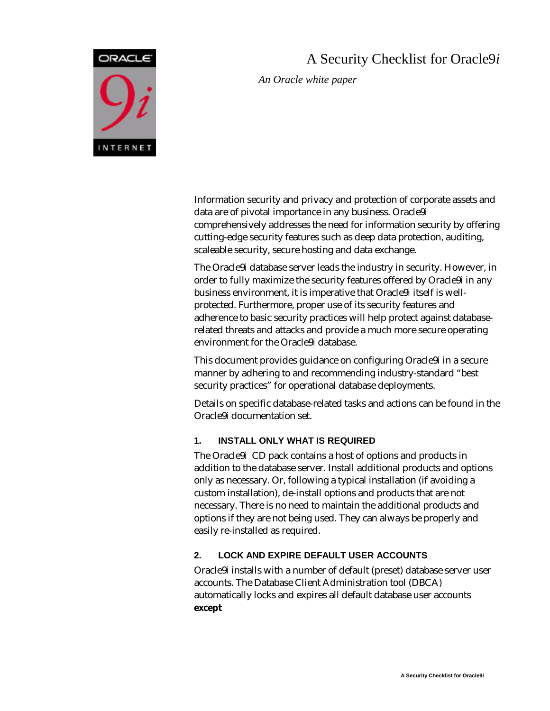

# A Security Checklist for Oracle9*i*

*An Oracle white paper*

Information security and privacy and protection of corporate assets and data are of pivotal importance in any business. Oracle9*i* comprehensively addresses the need for information security by offering cutting-edge security features such as deep data protection, auditing, scaleable security, secure hosting and data exchange.

The Oracle9*i* database server leads the industry in security. However, in order to fully maximize the security features offered by Oracle9*i* in any business environment, it is imperative that Oracle9*i* itself is wellprotected. Furthermore, proper use of its security features and adherence to basic security practices will help protect against databaserelated threats and attacks and provide a much more secure operating environment for the Oracle9*i* database.

This document provides guidance on configuring Oracle9*i* in a secure manner by adhering to and recommending industry-standard "best security practices" for operational database deployments.

Details on specific database-related tasks and actions can be found in the Oracle9*i* documentation set.

# **1. INSTALL ONLY WHAT IS REQUIRED**

The Oracle9*i* CD pack contains a host of options and products in addition to the database server. Install additional products and options only as necessary. Or, following a typical installation (if avoiding a custom installation), de-install options and products that are not necessary. There is no need to maintain the additional products and options if they are not being used. They can always be properly and easily re-installed as required.

# **2. LOCK AND EXPIRE DEFAULT USER ACCOUNTS**

Oracle9*i* installs with a number of default (preset) database server user accounts. The Database Client Administration tool (DBCA) automatically locks and expires all default database user accounts **except**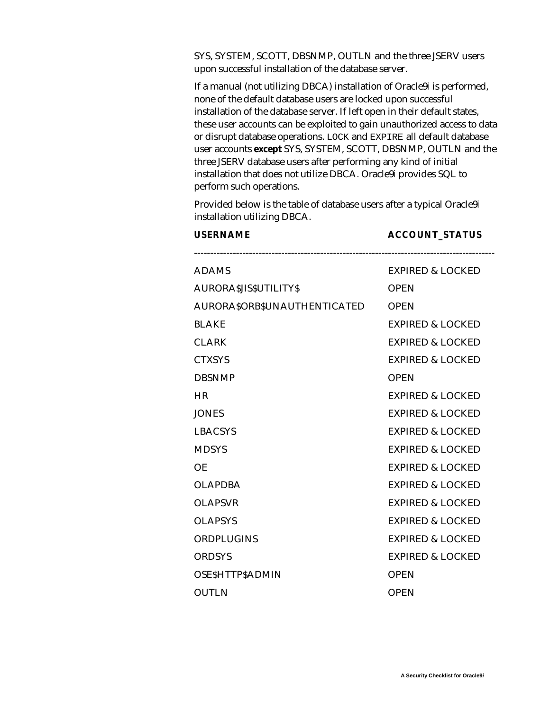SYS, SYSTEM, SCOTT, DBSNMP, OUTLN and the three JSERV users upon successful installation of the database server.

If a manual (not utilizing DBCA) installation of Oracle9*i* is performed, none of the default database users are locked upon successful installation of the database server. If left open in their default states, these user accounts can be exploited to gain unauthorized access to data or disrupt database operations. LOCK and EXPIRE all default database user accounts **except** SYS, SYSTEM, SCOTT, DBSNMP, OUTLN and the three JSERV database users after performing any kind of initial installation that does not utilize DBCA. Oracle9*i* provides SQL to perform such operations.

Provided below is the table of database users after a typical Oracle9*i* installation utilizing DBCA.

| <b>USERNAME</b>               | <b>ACCOUNT_STATUS</b>       |
|-------------------------------|-----------------------------|
| ADAMS                         | <b>EXPIRED &amp; LOCKED</b> |
| <b>AURORA\$JIS\$UTILITY\$</b> | <b>OPEN</b>                 |
| AURORA\$ORB\$UNAUTHENTICATED  | <b>OPEN</b>                 |
| BLAKE                         | <b>EXPIRED &amp; LOCKED</b> |
| <b>CLARK</b>                  | <b>EXPIRED &amp; LOCKED</b> |
| <b>CTXSYS</b>                 | <b>EXPIRED &amp; LOCKED</b> |
| <b>DBSNMP</b>                 | <b>OPEN</b>                 |
| HR                            | <b>EXPIRED &amp; LOCKED</b> |
| <b>JONES</b>                  | <b>EXPIRED &amp; LOCKED</b> |
| LBACSYS                       | <b>EXPIRED &amp; LOCKED</b> |
| <b>MDSYS</b>                  | <b>EXPIRED &amp; LOCKED</b> |
| ΟE                            | <b>EXPIRED &amp; LOCKED</b> |
| <b>OLAPDBA</b>                | <b>EXPIRED &amp; LOCKED</b> |
| <b>OLAPSVR</b>                | <b>EXPIRED &amp; LOCKED</b> |
| <b>OLAPSYS</b>                | <b>EXPIRED &amp; LOCKED</b> |
| <b>ORDPLUGINS</b>             | <b>EXPIRED &amp; LOCKED</b> |
| <b>ORDSYS</b>                 | <b>EXPIRED &amp; LOCKED</b> |
| <b>OSESHTTPSADMIN</b>         | <b>OPEN</b>                 |
| <b>OUTLN</b>                  | <b>OPEN</b>                 |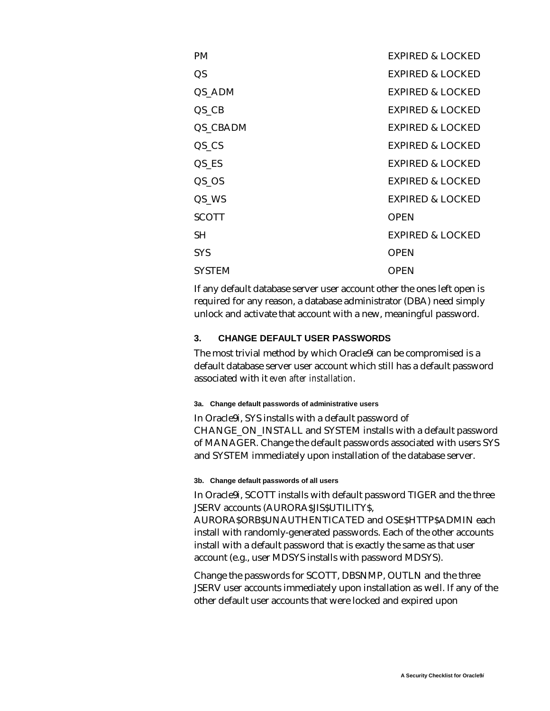| <b>PM</b>           | EXPIRED & LOCKED            |
|---------------------|-----------------------------|
| QS                  | <b>EXPIRED &amp; LOCKED</b> |
| QS_ADM              | <b>EXPIRED &amp; LOCKED</b> |
| $QS_C$              | <b>EXPIRED &amp; LOCKED</b> |
| QS_CBADM            | <b>EXPIRED &amp; LOCKED</b> |
| $QS_{\_\_}CS$       | <b>EXPIRED &amp; LOCKED</b> |
| $QS$ <sub>_ES</sub> | <b>EXPIRED &amp; LOCKED</b> |
| $QS$ <sub>_OS</sub> | <b>EXPIRED &amp; LOCKED</b> |
| QS_WS               | <b>EXPIRED &amp; LOCKED</b> |
| <b>SCOTT</b>        | <b>OPEN</b>                 |
| SH.                 | <b>EXPIRED &amp; LOCKED</b> |
| <b>SYS</b>          | <b>OPEN</b>                 |
| <b>SYSTEM</b>       | <b>OPEN</b>                 |

If any default database server user account other the ones left open is required for any reason, a database administrator (DBA) need simply unlock and activate that account with a new, meaningful password.

### **3. CHANGE DEFAULT USER PASSWORDS**

The most trivial method by which Oracle9*i* can be compromised is a default database server user account which still has a default password associated with it *even after installation*.

#### **3a. Change default passwords of administrative users**

In Oracle9*i*, SYS installs with a default password of CHANGE\_ON\_INSTALL and SYSTEM installs with a default password of MANAGER. Change the default passwords associated with users SYS and SYSTEM immediately upon installation of the database server.

#### **3b. Change default passwords of all users**

In Oracle9*i*, SCOTT installs with default password TIGER and the three JSERV accounts (AURORA\$JIS\$UTILITY\$,

AURORA\$ORB\$UNAUTHENTICATED and OSE\$HTTP\$ADMIN each install with randomly-generated passwords. Each of the other accounts install with a default password that is exactly the same as that user account (e.g., user MDSYS installs with password MDSYS).

Change the passwords for SCOTT, DBSNMP, OUTLN and the three JSERV user accounts immediately upon installation as well. If any of the other default user accounts that were locked and expired upon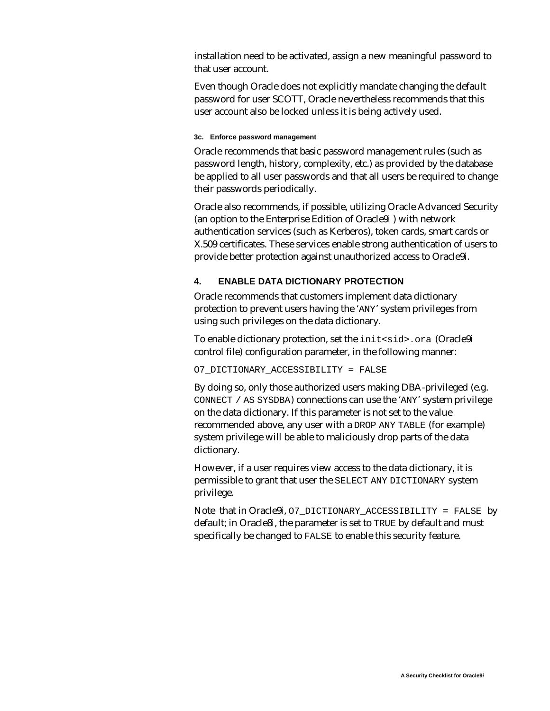installation need to be activated, assign a new meaningful password to that user account.

Even though Oracle does not explicitly mandate changing the default password for user SCOTT, Oracle nevertheless recommends that this user account also be locked unless it is being actively used.

#### **3c. Enforce password management**

Oracle recommends that basic password management rules (such as password length, history, complexity, etc.) as provided by the database be applied to all user passwords and that all users be required to change their passwords periodically.

Oracle also recommends, if possible, utilizing Oracle Advanced Security (an option to the Enterprise Edition of Oracle9*i* ) with network authentication services (such as Kerberos), token cards, smart cards or X.509 certificates. These services enable strong authentication of users to provide better protection against unauthorized access to Oracle9*i*.

## **4. ENABLE DATA DICTIONARY PROTECTION**

Oracle recommends that customers implement data dictionary protection to prevent users having the 'ANY' system privileges from using such privileges on the data dictionary.

To enable dictionary protection, set the init<sid>.ora (Oracle9*i* control file) configuration parameter, in the following manner:

### O7\_DICTIONARY\_ACCESSIBILITY = FALSE

By doing so, only those authorized users making DBA-privileged (e.g. CONNECT / AS SYSDBA) connections can use the 'ANY' system privilege on the data dictionary. If this parameter is not set to the value recommended above, any user with a DROP ANY TABLE (for example) system privilege will be able to maliciously drop parts of the data dictionary.

However, if a user requires view access to the data dictionary, it is permissible to grant that user the SELECT ANY DICTIONARY system privilege.

Note that in Oracle9*i*, O7\_DICTIONARY\_ACCESSIBILITY = FALSE by default; in Oracle8*i*, the parameter is set to TRUE by default and must specifically be changed to FALSE to enable this security feature.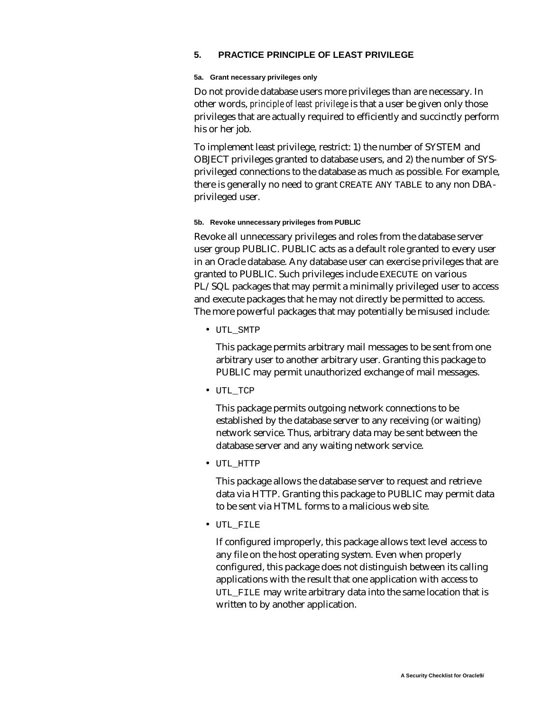### **5. PRACTICE PRINCIPLE OF LEAST PRIVILEGE**

#### **5a. Grant necessary privileges only**

Do not provide database users more privileges than are necessary. In other words, *principle of least privilege* is that a user be given only those privileges that are actually required to efficiently and succinctly perform his or her job.

To implement least privilege, restrict: 1) the number of SYSTEM and OBJECT privileges granted to database users, and 2) the number of SYSprivileged connections to the database as much as possible. For example, there is generally no need to grant CREATE ANY TABLE to any non DBAprivileged user.

#### **5b. Revoke unnecessary privileges from PUBLIC**

Revoke all unnecessary privileges and roles from the database server user group PUBLIC. PUBLIC acts as a default role granted to every user in an Oracle database. Any database user can exercise privileges that are granted to PUBLIC. Such privileges include EXECUTE on various PL/SQL packages that may permit a minimally privileged user to access and execute packages that he may not directly be permitted to access. The more powerful packages that may potentially be misused include:

• UTL\_SMTP

This package permits arbitrary mail messages to be sent from one arbitrary user to another arbitrary user. Granting this package to PUBLIC may permit unauthorized exchange of mail messages.

• UTL\_TCP

This package permits outgoing network connections to be established by the database server to any receiving (or waiting) network service. Thus, arbitrary data may be sent between the database server and any waiting network service.

• UTL\_HTTP

This package allows the database server to request and retrieve data via HTTP. Granting this package to PUBLIC may permit data to be sent via HTML forms to a malicious web site.

• UTL\_FILE

If configured improperly, this package allows text level access to any file on the host operating system. Even when properly configured, this package does not distinguish between its calling applications with the result that one application with access to UTL\_FILE may write arbitrary data into the same location that is written to by another application.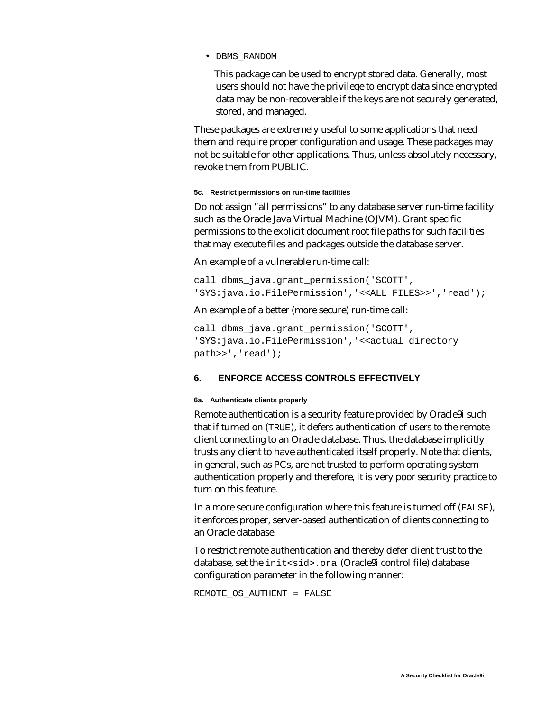• DBMS\_RANDOM

This package can be used to encrypt stored data. Generally, most users should not have the privilege to encrypt data since encrypted data may be non-recoverable if the keys are not securely generated, stored, and managed.

These packages are extremely useful to some applications that need them and require proper configuration and usage. These packages may not be suitable for other applications. Thus, unless absolutely necessary, revoke them from PUBLIC.

### **5c. Restrict permissions on run-time facilities**

Do not assign "all permissions" to any database server run-time facility such as the Oracle Java Virtual Machine (OJVM). Grant specific permissions to the explicit document root file paths for such facilities that may execute files and packages outside the database server.

An example of a vulnerable run-time call:

call dbms\_java.grant\_permission('SCOTT', 'SYS:java.io.FilePermission','<<ALL FILES>>','read');

An example of a better (more secure) run-time call:

```
call dbms_java.grant_permission('SCOTT',
'SYS:java.io.FilePermission','<<actual directory
path>>','read');
```
### **6. ENFORCE ACCESS CONTROLS EFFECTIVELY**

#### **6a. Authenticate clients properly**

Remote authentication is a security feature provided by Oracle9*i* such that if turned on (TRUE), it defers authentication of users to the remote client connecting to an Oracle database. Thus, the database implicitly trusts any client to have authenticated itself properly. Note that clients, in general, such as PCs, are not trusted to perform operating system authentication properly and therefore, it is very poor security practice to turn on this feature.

In a more secure configuration where this feature is turned off (FALSE), it enforces proper, server-based authentication of clients connecting to an Oracle database.

To restrict remote authentication and thereby defer client trust to the database, set the init<sid>.ora (Oracle9*i* control file) database configuration parameter in the following manner:

REMOTE\_OS\_AUTHENT = FALSE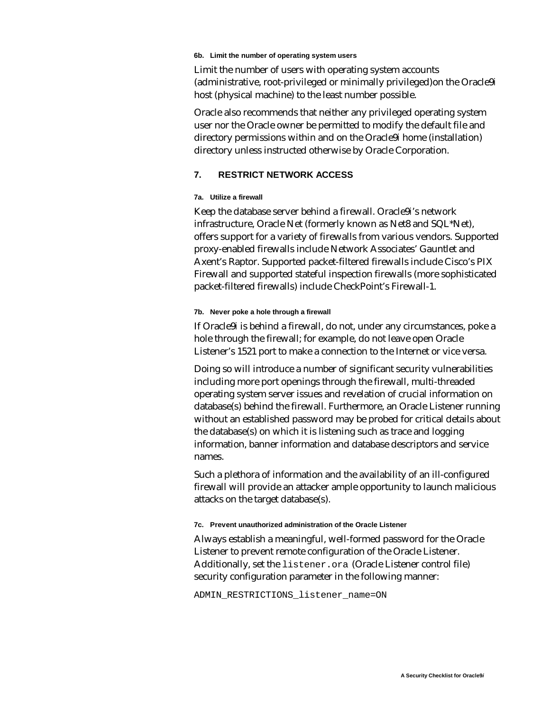#### **6b. Limit the number of operating system users**

Limit the number of users with operating system accounts (administrative, root-privileged or minimally privileged)on the Oracle9*i* host (physical machine) to the least number possible.

Oracle also recommends that neither any privileged operating system user nor the Oracle owner be permitted to modify the default file and directory permissions within and on the Oracle9*i* home (installation) directory unless instructed otherwise by Oracle Corporation.

### **7. RESTRICT NETWORK ACCESS**

### **7a. Utilize a firewall**

Keep the database server behind a firewall. Oracle9*i*'s network infrastructure, Oracle Net (formerly known as Net8 and SQL\*Net), offers support for a variety of firewalls from various vendors. Supported proxy-enabled firewalls include Network Associates' Gauntlet and Axent's Raptor. Supported packet-filtered firewalls include Cisco's PIX Firewall and supported stateful inspection firewalls (more sophisticated packet-filtered firewalls) include CheckPoint's Firewall-1.

#### **7b. Never poke a hole through a firewall**

If Oracle9*i* is behind a firewall, do not, under any circumstances, poke a hole through the firewall; for example, do not leave open Oracle Listener's 1521 port to make a connection to the Internet or vice versa.

Doing so will introduce a number of significant security vulnerabilities including more port openings through the firewall, multi-threaded operating system server issues and revelation of crucial information on database(s) behind the firewall. Furthermore, an Oracle Listener running without an established password may be probed for critical details about the database(s) on which it is listening such as trace and logging information, banner information and database descriptors and service names.

Such a plethora of information and the availability of an ill-configured firewall will provide an attacker ample opportunity to launch malicious attacks on the target database(s).

#### **7c. Prevent unauthorized administration of the Oracle Listener**

Always establish a meaningful, well-formed password for the Oracle Listener to prevent remote configuration of the Oracle Listener. Additionally, set the listener.ora (Oracle Listener control file) security configuration parameter in the following manner:

ADMIN RESTRICTIONS listener name=ON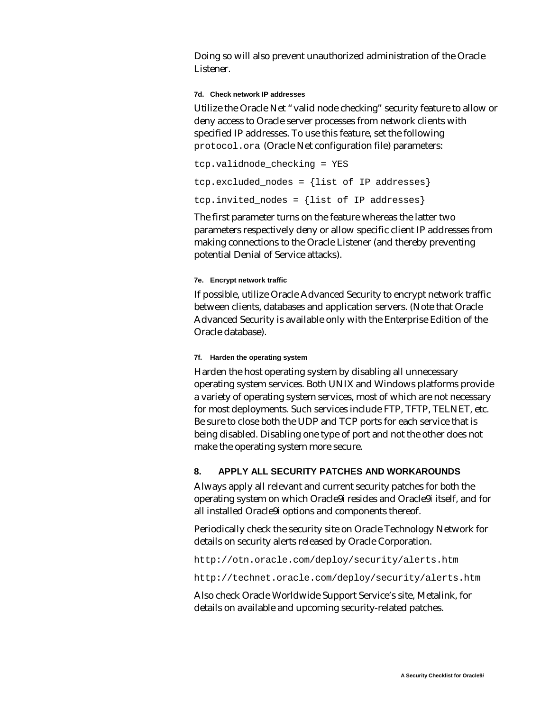Doing so will also prevent unauthorized administration of the Oracle Listener.

#### **7d. Check network IP addresses**

Utilize the Oracle Net "valid node checking" security feature to allow or deny access to Oracle server processes from network clients with specified IP addresses. To use this feature, set the following protocol.ora (Oracle Net configuration file) parameters:

```
tcp.validnode_checking = YES
tcp.excluded_nodes = {list of IP addresses}
tcp.invited_nodes = \{list of IP address\}
```
The first parameter turns on the feature whereas the latter two parameters respectively deny or allow specific client IP addresses from making connections to the Oracle Listener (and thereby preventing potential Denial of Service attacks).

### **7e. Encrypt network traffic**

If possible, utilize Oracle Advanced Security to encrypt network traffic between clients, databases and application servers. (Note that Oracle Advanced Security is available only with the Enterprise Edition of the Oracle database).

### **7f. Harden the operating system**

Harden the host operating system by disabling all unnecessary operating system services. Both UNIX and Windows platforms provide a variety of operating system services, most of which are not necessary for most deployments. Such services include FTP, TFTP, TELNET, etc. Be sure to close both the UDP and TCP ports for each service that is being disabled. Disabling one type of port and not the other does not make the operating system more secure.

# **8. APPLY ALL SECURITY PATCHES AND WORKAROUNDS**

Always apply all relevant and current security patches for both the operating system on which Oracle9*i* resides and Oracle9*i* itself, and for all installed Oracle9*i* options and components thereof.

Periodically check the security site on Oracle Technology Network for details on security alerts released by Oracle Corporation.

http://otn.oracle.com/deploy/security/alerts.htm

http://technet.oracle.com/deploy/security/alerts.htm

Also check Oracle Worldwide Support Service's site, Metalink, for details on available and upcoming security-related patches.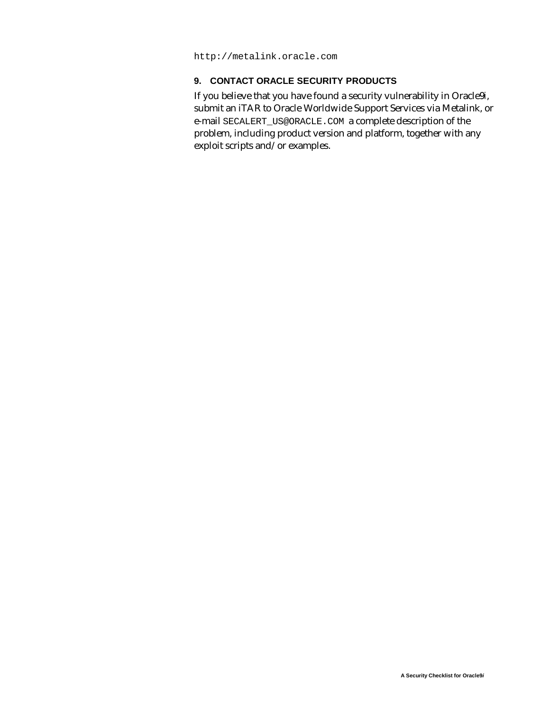http://metalink.oracle.com

# **9. CONTACT ORACLE SECURITY PRODUCTS**

If you believe that you have found a security vulnerability in Oracle9*i*, submit an iTAR to Oracle Worldwide Support Services via Metalink, or e-mail SECALERT\_US@ORACLE.COM a complete description of the problem, including product version and platform, together with any exploit scripts and/or examples.